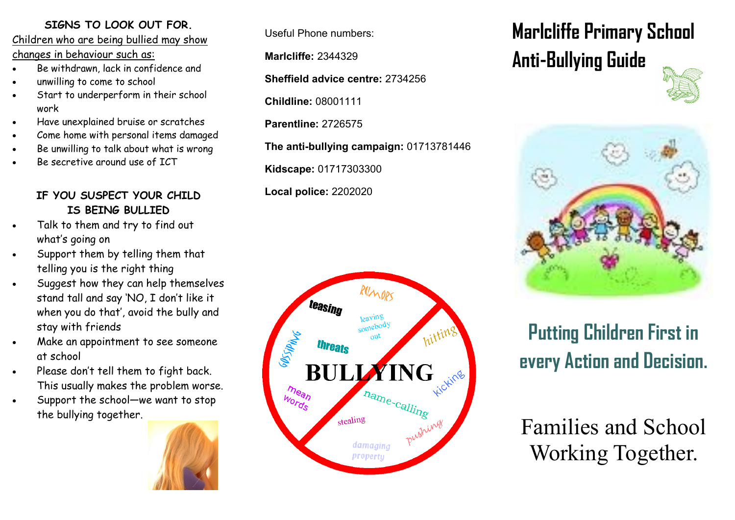### **SIGNS TO LOOK OUT FOR.**

Children who are being bullied may show changes in behaviour such as:

- Be withdrawn, lack in confidence and
- unwilling to come to school
- Start to underperform in their school work
- Have unexplained bruise or scratches
- Come home with personal items damaged
- Be unwilling to talk about what is wrong
- Be secretive around use of ICT

### **IF YOU SUSPECT YOUR CHILD IS BEING BULLIED**

- Talk to them and try to find out what's going on
- Support them by telling them that telling you is the right thing
- Suggest how they can help themselves stand tall and say 'NO, I don't like it when you do that', avoid the bully and stay with friends
- Make an appointment to see someone at school
- . Please don't tell them to fight back. This usually makes the problem worse.
- Support the school—we want to stop the bullying together.



Useful Phone numbers:

**Marlcliffe:** 2344329

**Sheffield advice centre:** 2734256

**Childline:** 08001111

**Parentline:** 2726575

**The anti-bullying campaign:** 01713781446

**Kidscape:** 01717303300

**Local police:** 2202020



# **Marlcliffe Primary School Anti-Bullying Guide**





## **Putting Children First in every Action and Decision.**

Families and School Working Together.